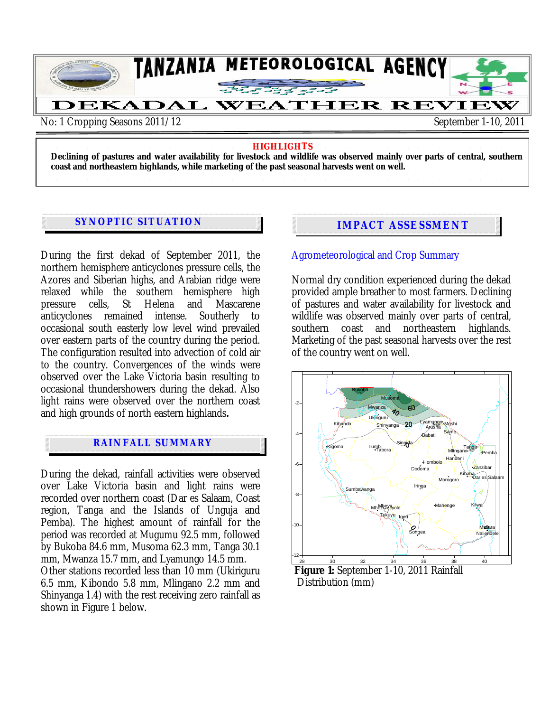

#### **HIGHLIGHTS**

**Declining of pastures and water availability for livestock and wildlife was observed mainly over parts of central, southern coast and northeastern highlands, while marketing of the past seasonal harvests went on well.** 

# **SYNOPTIC SITUATION IMPACT ASSESSMENT**

During the first dekad of September 2011, the northern hemisphere anticyclones pressure cells, the Azores and Siberian highs, and Arabian ridge were relaxed while the southern hemisphere high<br>pressure cells St Helena and Mascarene pressure cells. anticyclones remained intense. Southerly to occasional south easterly low level wind prevailed over eastern parts of the country during the period. The configuration resulted into advection of cold air to the country. Convergences of the winds were observed over the Lake Victoria basin resulting to occasional thundershowers during the dekad. Also light rains were observed over the northern coast and high grounds of north eastern highlands**.** 

## **RAINFALL SUMMARY**

During the dekad, rainfall activities were observed over Lake Victoria basin and light rains were recorded over northern coast (Dar es Salaam, Coast region, Tanga and the Islands of Unguja and Pemba). The highest amount of rainfall for the period was recorded at Mugumu 92.5 mm, followed by Bukoba 84.6 mm, Musoma 62.3 mm, Tanga 30.1 mm, Mwanza 15.7 mm, and Lyamungo 14.5 mm.

Other stations recorded less than 10 mm (Ukiriguru 6.5 mm, Kibondo 5.8 mm, Mlingano 2.2 mm and Shinyanga 1.4) with the rest receiving zero rainfall as shown in Figure 1 below.

### Agrometeorological and Crop Summary

Normal dry condition experienced during the dekad provided ample breather to most farmers. Declining of pastures and water availability for livestock and wildlife was observed mainly over parts of central, southern coast and northeastern highlands. Marketing of the past seasonal harvests over the rest of the country went on well.



**Figure 1:** September 1-10, 2011 Rainfall Distribution (mm)